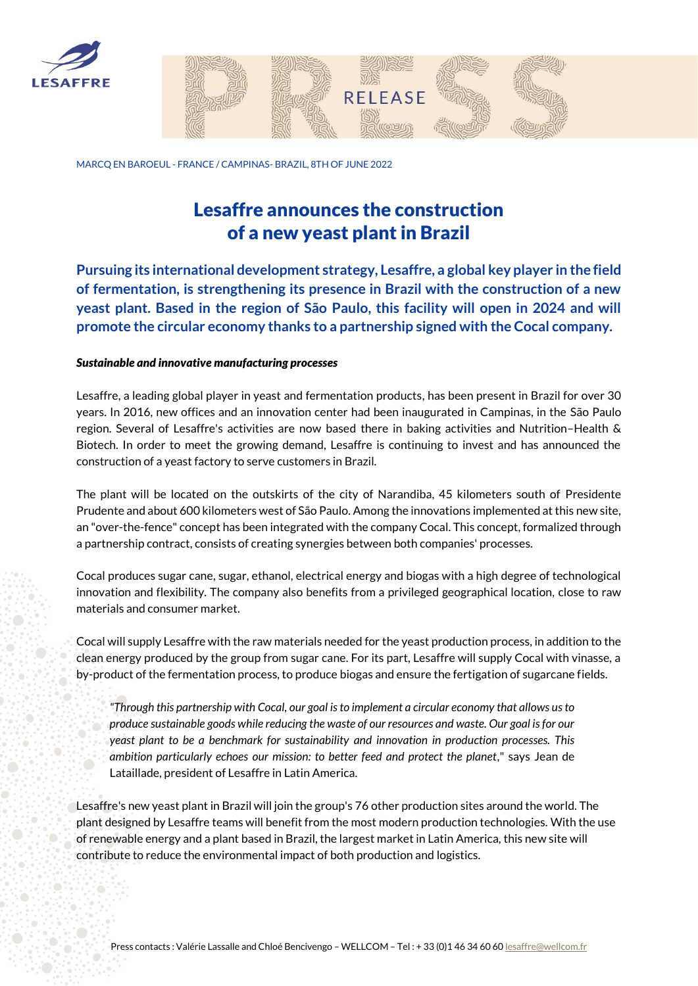



MARCQ EN BAROEUL - FRANCE / CAMPINAS- BRAZIL, 8TH OF JUNE 2022

## Lesaffre announces the construction of a new yeast plant in Brazil

**Pursuing its international development strategy, Lesaffre, a global key player in the field of fermentation, is strengthening its presence in Brazil with the construction of a new yeast plant. Based in the region of São Paulo, this facility will open in 2024 and will promote the circular economy thanks to a partnership signed with the Cocal company.** 

## *Sustainable and innovative manufacturing processes*

Lesaffre, a leading global player in yeast and fermentation products, has been present in Brazil for over 30 years. In 2016, new offices and an innovation center had been inaugurated in Campinas, in the São Paulo region. Several of Lesaffre's activities are now based there in baking activities and Nutrition–Health & Biotech. In order to meet the growing demand, Lesaffre is continuing to invest and has announced the construction of a yeast factory to serve customers in Brazil.

The plant will be located on the outskirts of the city of Narandiba, 45 kilometers south of Presidente Prudente and about 600 kilometers west of São Paulo. Among the innovations implemented at this new site, an "over-the-fence" concept has been integrated with the company Cocal. This concept, formalized through a partnership contract, consists of creating synergies between both companies' processes.

Cocal produces sugar cane, sugar, ethanol, electrical energy and biogas with a high degree of technological innovation and flexibility. The company also benefits from a privileged geographical location, close to raw materials and consumer market.

Cocal will supply Lesaffre with the raw materials needed for the yeast production process, in addition to the clean energy produced by the group from sugar cane. For its part, Lesaffre will supply Cocal with vinasse, a by-product of the fermentation process, to produce biogas and ensure the fertigation of sugarcane fields.

*"Through this partnership with Cocal, our goal is to implement a circular economy that allows us to produce sustainable goods while reducing the waste of our resources and waste. Our goal is for our yeast plant to be a benchmark for sustainability and innovation in production processes. This ambition particularly echoes our mission: to better feed and protect the planet*," says Jean de Lataillade, president of Lesaffre in Latin America.

Lesaffre's new yeast plant in Brazil will join the group's 76 other production sites around the world. The plant designed by Lesaffre teams will benefit from the most modern production technologies. With the use of renewable energy and a plant based in Brazil, the largest market in Latin America, this new site will contribute to reduce the environmental impact of both production and logistics.